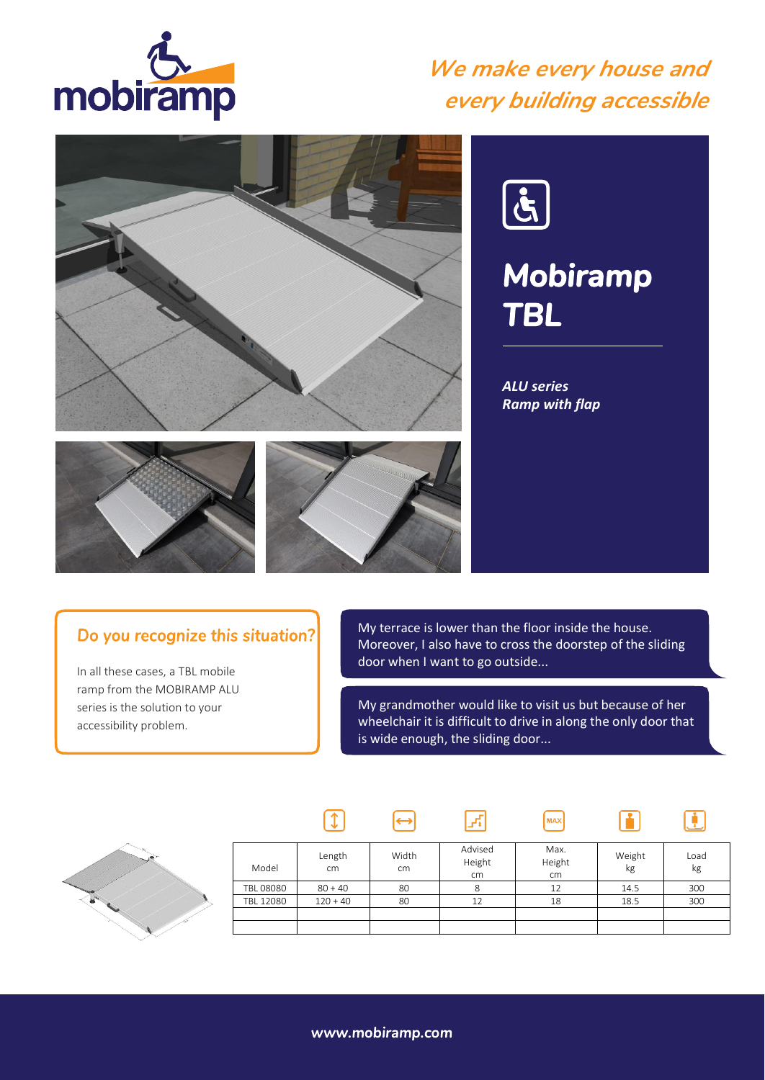

### *We make every house and every building accessible*





# *Mobiramp TBL*

*ALU series Ramp with flap*





 $\sqrt{1}$ 

#### Do you recognize this situation?

In all these cases, a TBL mobile ramp from the MOBIRAMP ALU series is the solution to your accessibility problem.

My terrace is lower than the floor inside the house. Moreover, I also have to cross the doorstep of the sliding door when I want to go outside...

My grandmother would like to visit us but because of her wheelchair it is difficult to drive in along the only door that is wide enough, the sliding door...

**MAX** 

m

 $\left[\begin{matrix}\cdot\end{matrix}\right]$ 



| Model     | Length<br>cm | Width<br>cm | Advised<br>Height<br>cm | Max.<br>Height<br>cm | Weight<br>kg | Load<br>kg |
|-----------|--------------|-------------|-------------------------|----------------------|--------------|------------|
| TBL 08080 | $80 + 40$    | 80          | 8                       | 12                   | 14.5         | 300        |
| TBL 12080 | $120 + 40$   | 80          | 12                      | 18                   | 18.5         | 300        |
|           |              |             |                         |                      |              |            |
|           |              |             |                         |                      |              |            |

 $\mathbb{F}$ 

 $\Theta$